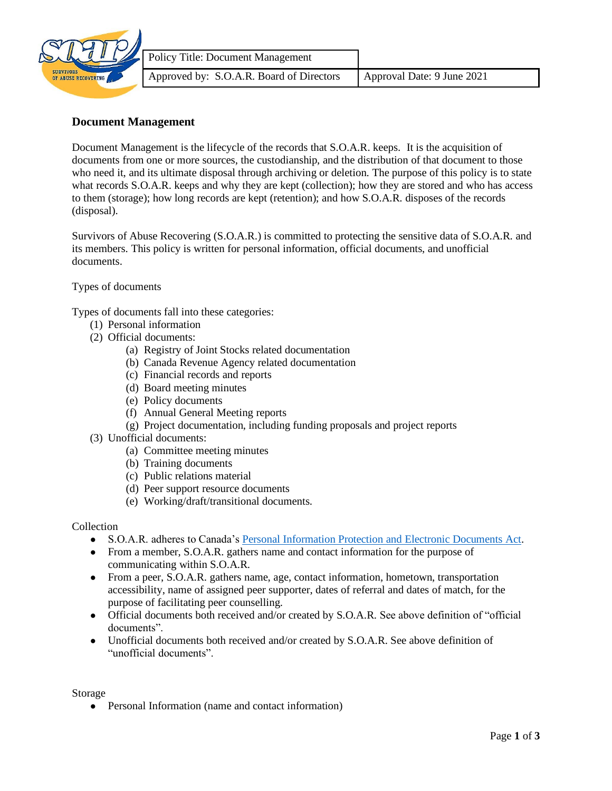

## **Document Management**

Document Management is the lifecycle of the records that S.O.A.R. keeps. It is the acquisition of documents from one or more sources, the custodianship, and the distribution of that document to those who need it, and its ultimate disposal through archiving or deletion. The purpose of this policy is to state what records S.O.A.R. keeps and why they are kept (collection); how they are stored and who has access to them (storage); how long records are kept (retention); and how S.O.A.R. disposes of the records (disposal).

Survivors of Abuse Recovering (S.O.A.R.) is committed to protecting the sensitive data of S.O.A.R. and its members. This policy is written for personal information, official documents, and unofficial documents.

Types of documents

Types of documents fall into these categories:

- (1) Personal information
- (2) Official documents:
	- (a) Registry of Joint Stocks related documentation
	- (b) Canada Revenue Agency related documentation
	- (c) Financial records and reports
	- (d) Board meeting minutes
	- (e) Policy documents
	- (f) Annual General Meeting reports
	- (g) Project documentation, including funding proposals and project reports
- (3) Unofficial documents:
	- (a) Committee meeting minutes
	- (b) Training documents
	- (c) Public relations material
	- (d) Peer support resource documents
	- (e) Working/draft/transitional documents.

## Collection

- S.O.A.R. adheres to Canada's [Personal Information Protection and Electronic Documents Act.](https://www.priv.gc.ca/en/privacy-topics/privacy-laws-in-canada/the-personal-information-protection-and-electronic-documents-act-pipeda/)
- From a member, S.O.A.R. gathers name and contact information for the purpose of communicating within S.O.A.R.
- From a peer, S.O.A.R. gathers name, age, contact information, hometown, transportation accessibility, name of assigned peer supporter, dates of referral and dates of match, for the purpose of facilitating peer counselling.
- Official documents both received and/or created by S.O.A.R. See above definition of "official documents".
- Unofficial documents both received and/or created by S.O.A.R. See above definition of "unofficial documents".

Storage

• Personal Information (name and contact information)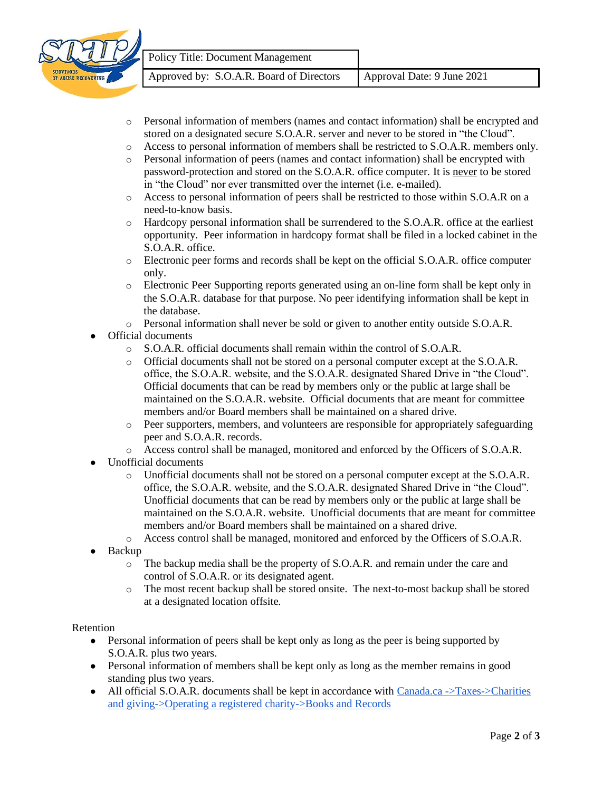

- o Personal information of members (names and contact information) shall be encrypted and stored on a designated secure S.O.A.R. server and never to be stored in "the Cloud".
- o Access to personal information of members shall be restricted to S.O.A.R. members only.
- o Personal information of peers (names and contact information) shall be encrypted with password-protection and stored on the S.O.A.R. office computer. It is never to be stored in "the Cloud" nor ever transmitted over the internet (i.e. e-mailed).
- o Access to personal information of peers shall be restricted to those within S.O.A.R on a need-to-know basis.
- o Hardcopy personal information shall be surrendered to the S.O.A.R. office at the earliest opportunity. Peer information in hardcopy format shall be filed in a locked cabinet in the S.O.A.R. office.
- o Electronic peer forms and records shall be kept on the official S.O.A.R. office computer only.
- o Electronic Peer Supporting reports generated using an on-line form shall be kept only in the S.O.A.R. database for that purpose. No peer identifying information shall be kept in the database.
- o Personal information shall never be sold or given to another entity outside S.O.A.R.
- Official documents
	- o S.O.A.R. official documents shall remain within the control of S.O.A.R.
	- o Official documents shall not be stored on a personal computer except at the S.O.A.R. office, the S.O.A.R. website, and the S.O.A.R. designated Shared Drive in "the Cloud". Official documents that can be read by members only or the public at large shall be maintained on the S.O.A.R. website. Official documents that are meant for committee members and/or Board members shall be maintained on a shared drive.
	- o Peer supporters, members, and volunteers are responsible for appropriately safeguarding peer and S.O.A.R. records.
	- o Access control shall be managed, monitored and enforced by the Officers of S.O.A.R.
- Unofficial documents
	- o Unofficial documents shall not be stored on a personal computer except at the S.O.A.R. office, the S.O.A.R. website, and the S.O.A.R. designated Shared Drive in "the Cloud". Unofficial documents that can be read by members only or the public at large shall be maintained on the S.O.A.R. website. Unofficial documents that are meant for committee members and/or Board members shall be maintained on a shared drive.
	- o Access control shall be managed, monitored and enforced by the Officers of S.O.A.R.
- **Backup** 
	- o The backup media shall be the property of S.O.A.R. and remain under the care and control of S.O.A.R. or its designated agent.
	- o The most recent backup shall be stored onsite. The next-to-most backup shall be stored at a designated location offsite.

## Retention

- Personal information of peers shall be kept only as long as the peer is being supported by S.O.A.R. plus two years.
- Personal information of members shall be kept only as long as the member remains in good standing plus two years.
- All official S.O.A.R. documents shall be kept in accordance with [Canada.ca](https://www.canada.ca/en.html)  $\rightarrow$  Taxes $\rightarrow$ Charities [and giving-](https://www.canada.ca/en/services/taxes/charities.html)[>Operating a registered charity-](https://www.canada.ca/en/revenue-agency/services/charities-giving/charities/operating-a-registered-charity.html)[>Books and Records](https://www.canada.ca/en/revenue-agency/services/charities-giving/charities/operating-a-registered-charity/books-records.html)